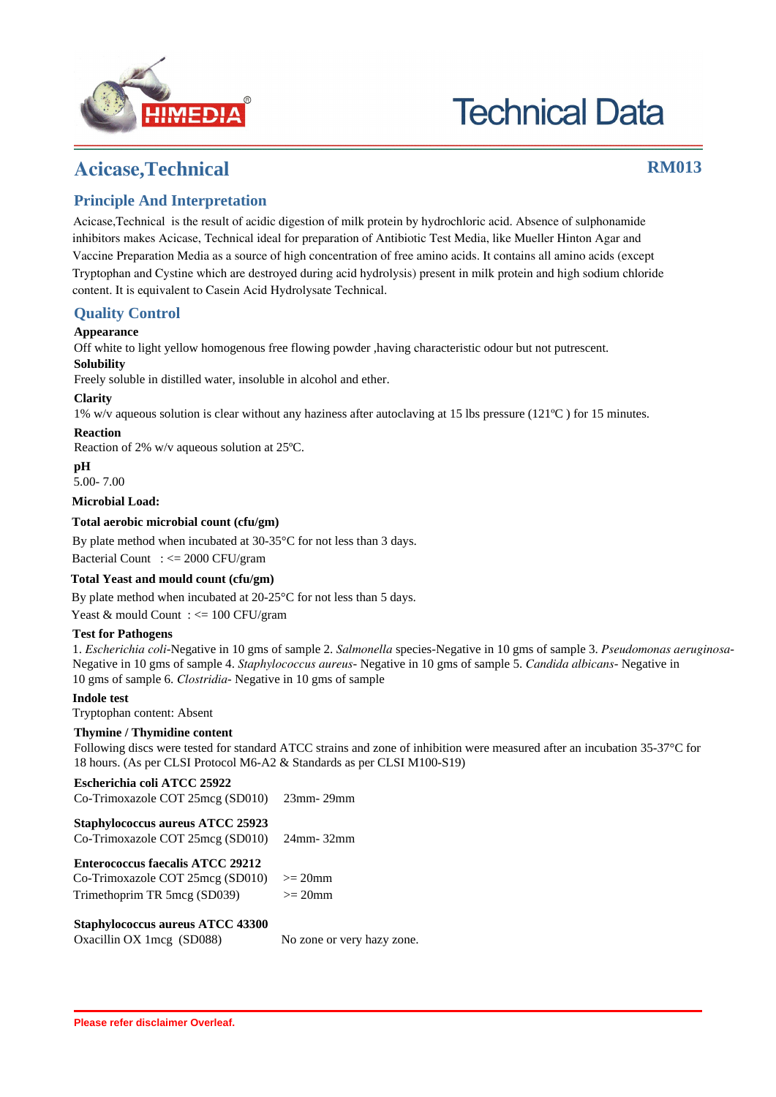

# **Technical Data**

### **Acicase,Technical RM013**

#### **Principle And Interpretation**

Acicase,Technical is the result of acidic digestion of milk protein by hydrochloric acid. Absence of sulphonamide inhibitors makes Acicase, Technical ideal for preparation of Antibiotic Test Media, like Mueller Hinton Agar and Vaccine Preparation Media as a source of high concentration of free amino acids. It contains all amino acids (except Tryptophan and Cystine which are destroyed during acid hydrolysis) present in milk protein and high sodium chloride content. It is equivalent to Casein Acid Hydrolysate Technical.

#### **Quality Control**

#### **Appearance**

Off white to light yellow homogenous free flowing powder ,having characteristic odour but not putrescent.

#### **Solubility**

Freely soluble in distilled water, insoluble in alcohol and ether.

#### **Clarity**

1% w/v aqueous solution is clear without any haziness after autoclaving at 15 lbs pressure (121ºC ) for 15 minutes.

#### **Reaction**

Reaction of 2% w/v aqueous solution at 25ºC.

**pH**

5.00- 7.00

**Microbial Load:**

#### **Total aerobic microbial count (cfu/gm)**

By plate method when incubated at 30-35<sup>o</sup>C for not less than 3 days.

Bacterial Count : <= 2000 CFU/gram

#### **Total Yeast and mould count (cfu/gm)**

By plate method when incubated at 20-25°C for not less than 5 days.

Yeast & mould Count : <= 100 CFU/gram

#### **Test for Pathogens**

1. *Escherichia coli*-Negative in 10 gms of sample 2. *Salmonella* species-Negative in 10 gms of sample 3. *Pseudomonas aeruginosa*-Negative in 10 gms of sample 4. *Staphylococcus aureus*- Negative in 10 gms of sample 5. *Candida albicans*- Negative in 10 gms of sample 6. *Clostridia*- Negative in 10 gms of sample

#### **Indole test**

Tryptophan content: Absent

#### **Thymine / Thymidine content**

Following discs were tested for standard ATCC strains and zone of inhibition were measured after an incubation 35-37°C for 18 hours. (As per CLSI Protocol M6-A2 & Standards as per CLSI M100-S19)

| Escherichia coli ATCC 25922                |  |  |  |  |  |
|--------------------------------------------|--|--|--|--|--|
| Co-Trimoxazole COT 25mcg (SD010) 23mm-29mm |  |  |  |  |  |
| Staphylococcus aureus ATCC 25923           |  |  |  |  |  |

| Co-Trimoxazole COT 25mcg (SD010) 24mm-32mm |  |
|--------------------------------------------|--|
| <b>Enterococcus faecalis ATCC 29212</b>    |  |

| Enterococcus raecans ATCC 49414             |             |  |
|---------------------------------------------|-------------|--|
| Co-Trimoxazole COT 25mcg (SD010) $>= 20$ mm |             |  |
| Trimethoprim TR 5mcg (SD039)                | $\geq$ 20mm |  |

**Staphylococcus aureus ATCC 43300**

Oxacillin OX 1mcg (SD088) No zone or very hazy zone.